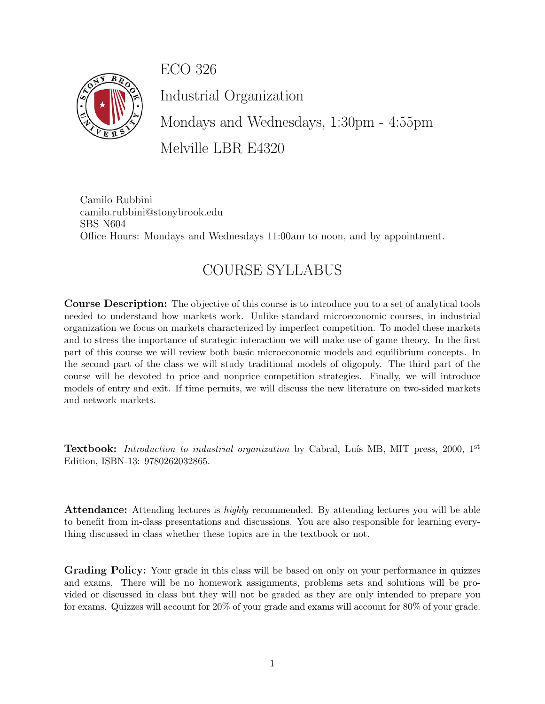ECO 326



Industrial Organization

Mondays and Wednesdays, 1:30pm - 4:55pm Melville LBR E4320

Camilo Rubbini camilo.rubbini@stonybrook.edu SBS N604 Office Hours: Mondays and Wednesdays 11:00am to noon, and by appointment.

## COURSE SYLLABUS

Course Description: The objective of this course is to introduce you to a set of analytical tools needed to understand how markets work. Unlike standard microeconomic courses, in industrial organization we focus on markets characterized by imperfect competition. To model these markets and to stress the importance of strategic interaction we will make use of game theory. In the first part of this course we will review both basic microeconomic models and equilibrium concepts. In the second part of the class we will study traditional models of oligopoly. The third part of the course will be devoted to price and nonprice competition strategies. Finally, we will introduce models of entry and exit. If time permits, we will discuss the new literature on two-sided markets and network markets.

**Textbook:** Introduction to industrial organization by Cabral, Luís MB, MIT press, 2000,  $1<sup>st</sup>$ Edition, ISBN-13: 9780262032865.

Attendance: Attending lectures is *highly* recommended. By attending lectures you will be able to benefit from in-class presentations and discussions. You are also responsible for learning everything discussed in class whether these topics are in the textbook or not.

Grading Policy: Your grade in this class will be based on only on your performance in quizzes and exams. There will be no homework assignments, problems sets and solutions will be provided or discussed in class but they will not be graded as they are only intended to prepare you for exams. Quizzes will account for 20% of your grade and exams will account for 80% of your grade.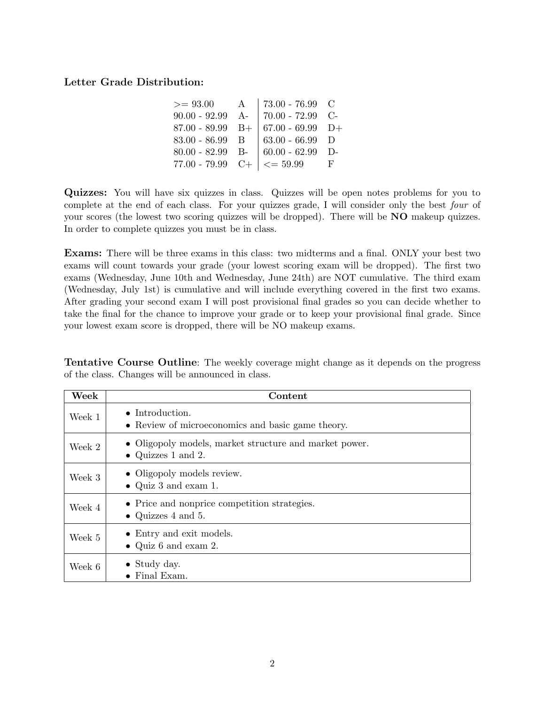## Letter Grade Distribution:

| $>= 93.00$         | $\mathbf{A}$ | $73.00 - 76.99$ C             |    |
|--------------------|--------------|-------------------------------|----|
| $90.00 - 92.99$ A- |              | $70.00 - 72.99$ C-            |    |
| $87.00 - 89.99$ B+ |              | $67.00 - 69.99$ D+            |    |
| $83.00 - 86.99$ B  |              | $63.00 - 66.99$ D             |    |
| $80.00 - 82.99$ B- |              | $60.00 - 62.99$ D-            |    |
| $77.00 - 79.99$ C+ |              | $\vert \langle = 59.99 \vert$ | E, |

Quizzes: You will have six quizzes in class. Quizzes will be open notes problems for you to complete at the end of each class. For your quizzes grade, I will consider only the best four of your scores (the lowest two scoring quizzes will be dropped). There will be NO makeup quizzes. In order to complete quizzes you must be in class.

Exams: There will be three exams in this class: two midterms and a final. ONLY your best two exams will count towards your grade (your lowest scoring exam will be dropped). The first two exams (Wednesday, June 10th and Wednesday, June 24th) are NOT cumulative. The third exam (Wednesday, July 1st) is cumulative and will include everything covered in the first two exams. After grading your second exam I will post provisional final grades so you can decide whether to take the final for the chance to improve your grade or to keep your provisional final grade. Since your lowest exam score is dropped, there will be NO makeup exams.

Tentative Course Outline: The weekly coverage might change as it depends on the progress of the class. Changes will be announced in class.

| Week   | Content                                                                      |
|--------|------------------------------------------------------------------------------|
| Week 1 | $\bullet$ Introduction.<br>• Review of microeconomics and basic game theory. |
| Week 2 | • Oligopoly models, market structure and market power.<br>• Quizzes 1 and 2. |
| Week 3 | • Oligopoly models review.<br>• Quiz 3 and exam 1.                           |
| Week 4 | • Price and nonprice competition strategies.<br>• Quizzes $4$ and $5$ .      |
| Week 5 | • Entry and exit models.<br>• Quiz 6 and exam 2.                             |
| Week 6 | $\bullet$ Study day.<br>• Final Exam.                                        |